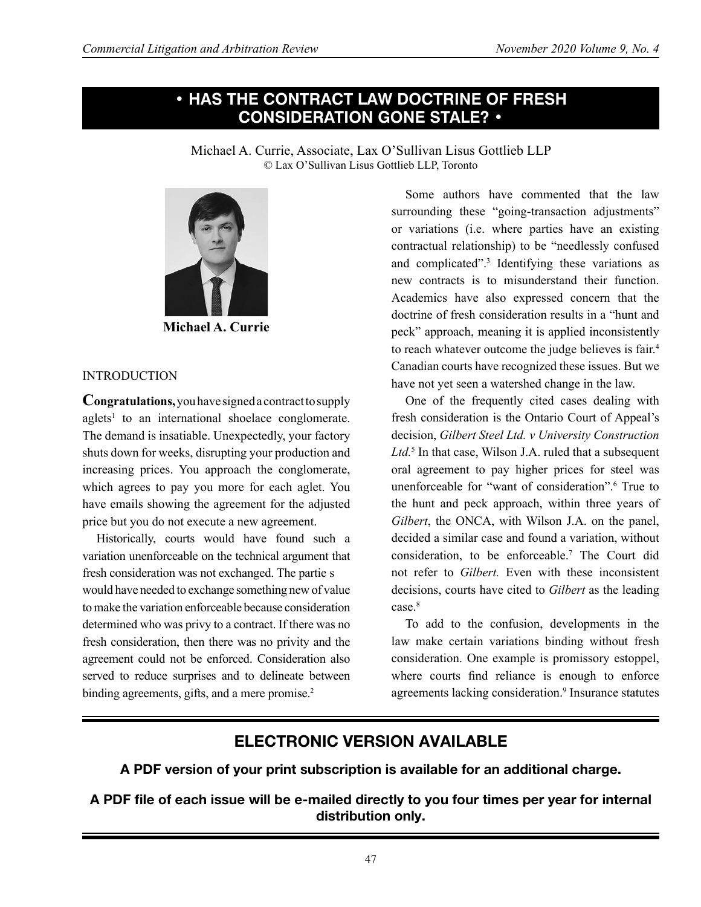# **• HAS THE CONTRACT LAW DOCTRINE OF FRESH CONSIDERATION GONE STALE? •**

Michael A. Currie, Associate, Lax O'Sullivan Lisus Gottlieb LLP © Lax O'Sullivan Lisus Gottlieb LLP, Toronto



**Michael A. Currie**

#### INTRODUCTION

**Congratulations,** you have signed a contract to supply aglets<sup>1</sup> to an international shoelace conglomerate. The demand is insatiable. Unexpectedly, your factory shuts down for weeks, disrupting your production and increasing prices. You approach the conglomerate, which agrees to pay you more for each aglet. You have emails showing the agreement for the adjusted price but you do not execute a new agreement.

Historically, courts would have found such a variation unenforceable on the technical argument that fresh consideration was not exchanged. The partie s would have needed to exchange something new of value to make the variation enforceable because consideration determined who was privy to a contract. If there was no fresh consideration, then there was no privity and the agreement could not be enforced. Consideration also served to reduce surprises and to delineate between binding agreements, gifts, and a mere promise.<sup>2</sup>

Some authors have commented that the law surrounding these "going-transaction adjustments" or variations (i.e. where parties have an existing contractual relationship) to be "needlessly confused and complicated".<sup>3</sup> Identifying these variations as new contracts is to misunderstand their function. Academics have also expressed concern that the doctrine of fresh consideration results in a "hunt and peck" approach, meaning it is applied inconsistently to reach whatever outcome the judge believes is fair.<sup>4</sup> Canadian courts have recognized these issues. But we have not yet seen a watershed change in the law.

One of the frequently cited cases dealing with fresh consideration is the Ontario Court of Appeal's decision, *Gilbert Steel Ltd. v University Construction Ltd.*<sup>5</sup> In that case, Wilson J.A. ruled that a subsequent oral agreement to pay higher prices for steel was unenforceable for "want of consideration".<sup>6</sup> True to the hunt and peck approach, within three years of *Gilbert*, the ONCA, with Wilson J.A. on the panel, decided a similar case and found a variation, without consideration, to be enforceable.<sup>7</sup> The Court did not refer to *Gilbert.* Even with these inconsistent decisions, courts have cited to *Gilbert* as the leading case.<sup>8</sup>

To add to the confusion, developments in the law make certain variations binding without fresh consideration. One example is promissory estoppel, where courts find reliance is enough to enforce agreements lacking consideration.<sup>9</sup> Insurance statutes

# **ELECTRONIC VERSION AVAILABLE**

**A PDF version of your print subscription is available for an additional charge.**

**A PDF file of each issue will be e-mailed directly to you four times per year for internal distribution only.**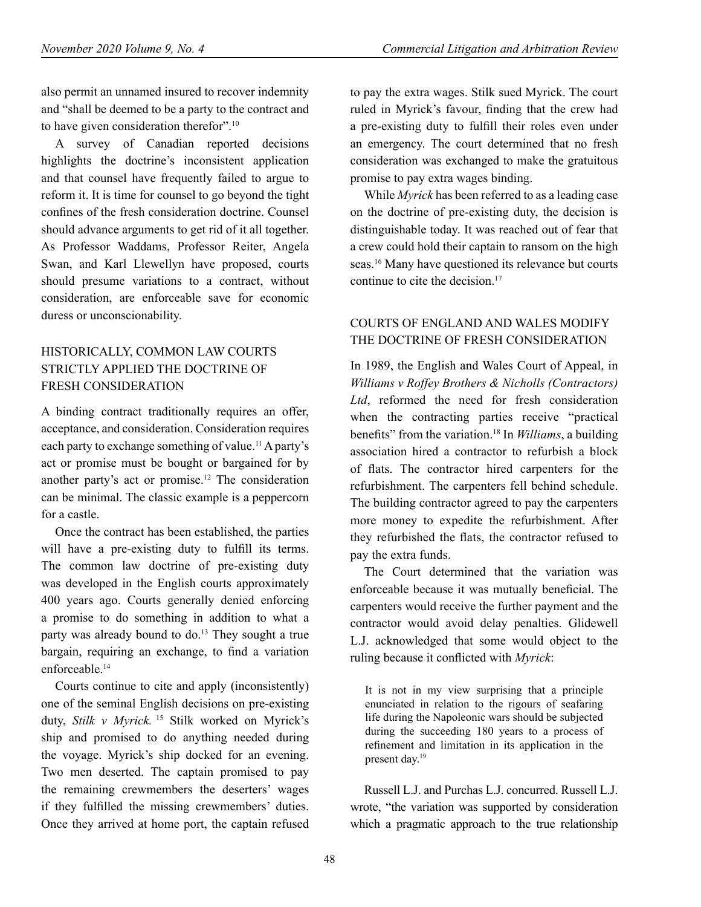also permit an unnamed insured to recover indemnity and "shall be deemed to be a party to the contract and to have given consideration therefor".10

A survey of Canadian reported decisions highlights the doctrine's inconsistent application and that counsel have frequently failed to argue to reform it. It is time for counsel to go beyond the tight confines of the fresh consideration doctrine. Counsel should advance arguments to get rid of it all together. As Professor Waddams, Professor Reiter, Angela Swan, and Karl Llewellyn have proposed, courts should presume variations to a contract, without consideration, are enforceable save for economic duress or unconscionability.

# HISTORICALLY, COMMON LAW COURTS STRICTLY APPLIED THE DOCTRINE OF FRESH CONSIDERATION

A binding contract traditionally requires an offer, acceptance, and consideration. Consideration requires each party to exchange something of value.<sup>11</sup> A party's act or promise must be bought or bargained for by another party's act or promise.<sup>12</sup> The consideration can be minimal. The classic example is a peppercorn for a castle.

Once the contract has been established, the parties will have a pre-existing duty to fulfill its terms. The common law doctrine of pre-existing duty was developed in the English courts approximately 400 years ago. Courts generally denied enforcing a promise to do something in addition to what a party was already bound to do.<sup>13</sup> They sought a true bargain, requiring an exchange, to find a variation enforceable.<sup>14</sup>

Courts continue to cite and apply (inconsistently) one of the seminal English decisions on pre-existing duty, *Stilk v Myrick.*<sup>15</sup> Stilk worked on Myrick's ship and promised to do anything needed during the voyage. Myrick's ship docked for an evening. Two men deserted. The captain promised to pay the remaining crewmembers the deserters' wages if they fulfilled the missing crewmembers' duties. Once they arrived at home port, the captain refused to pay the extra wages. Stilk sued Myrick. The court ruled in Myrick's favour, finding that the crew had a pre-existing duty to fulfill their roles even under an emergency. The court determined that no fresh consideration was exchanged to make the gratuitous promise to pay extra wages binding.

While *Myrick* has been referred to as a leading case on the doctrine of pre-existing duty, the decision is distinguishable today. It was reached out of fear that a crew could hold their captain to ransom on the high seas.16 Many have questioned its relevance but courts continue to cite the decision.17

### COURTS OF ENGLAND AND WALES MODIFY THE DOCTRINE OF FRESH CONSIDERATION

In 1989, the English and Wales Court of Appeal, in *Williams v Roffey Brothers & Nicholls (Contractors) Ltd*, reformed the need for fresh consideration when the contracting parties receive "practical benefits" from the variation.18 In *Williams*, a building association hired a contractor to refurbish a block of flats. The contractor hired carpenters for the refurbishment. The carpenters fell behind schedule. The building contractor agreed to pay the carpenters more money to expedite the refurbishment. After they refurbished the flats, the contractor refused to pay the extra funds.

The Court determined that the variation was enforceable because it was mutually beneficial. The carpenters would receive the further payment and the contractor would avoid delay penalties. Glidewell L.J. acknowledged that some would object to the ruling because it conflicted with *Myrick*:

It is not in my view surprising that a principle enunciated in relation to the rigours of seafaring life during the Napoleonic wars should be subjected during the succeeding 180 years to a process of refinement and limitation in its application in the present day.<sup>19</sup>

Russell L.J. and Purchas L.J. concurred. Russell L.J. wrote, "the variation was supported by consideration which a pragmatic approach to the true relationship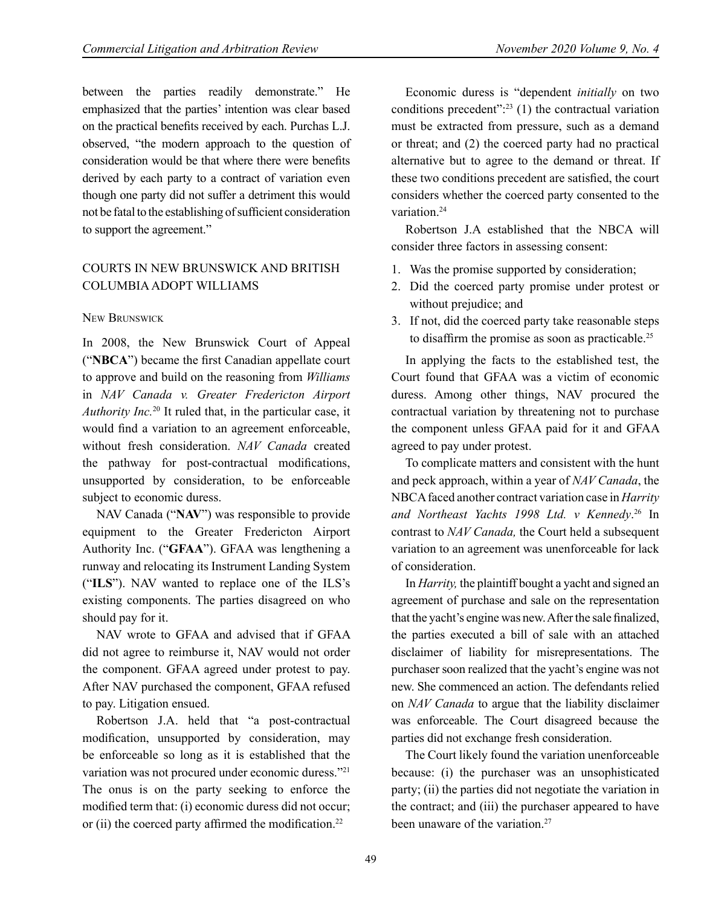between the parties readily demonstrate." He emphasized that the parties' intention was clear based on the practical benefits received by each. Purchas L.J. observed, "the modern approach to the question of consideration would be that where there were benefits derived by each party to a contract of variation even though one party did not suffer a detriment this would not be fatal to the establishing of sufficient consideration to support the agreement."

### COURTS IN NEW BRUNSWICK AND BRITISH COLUMBIA ADOPT WILLIAMS

#### New Brunswick

In 2008, the New Brunswick Court of Appeal ("**NBCA**") became the first Canadian appellate court to approve and build on the reasoning from *Williams*  in *NAV Canada v. Greater Fredericton Airport Authority Inc.*<sup>20</sup> It ruled that, in the particular case, it would find a variation to an agreement enforceable, without fresh consideration. *NAV Canada* created the pathway for post-contractual modifications, unsupported by consideration, to be enforceable subject to economic duress.

NAV Canada ("**NAV**") was responsible to provide equipment to the Greater Fredericton Airport Authority Inc. ("**GFAA**"). GFAA was lengthening a runway and relocating its Instrument Landing System ("**ILS**"). NAV wanted to replace one of the ILS's existing components. The parties disagreed on who should pay for it.

NAV wrote to GFAA and advised that if GFAA did not agree to reimburse it, NAV would not order the component. GFAA agreed under protest to pay. After NAV purchased the component, GFAA refused to pay. Litigation ensued.

Robertson J.A. held that "a post-contractual modification, unsupported by consideration, may be enforceable so long as it is established that the variation was not procured under economic duress."<sup>21</sup> The onus is on the party seeking to enforce the modified term that: (i) economic duress did not occur; or (ii) the coerced party affirmed the modification.<sup>22</sup>

Economic duress is "dependent *initially* on two conditions precedent": $23$  (1) the contractual variation must be extracted from pressure, such as a demand or threat; and (2) the coerced party had no practical alternative but to agree to the demand or threat. If these two conditions precedent are satisfied, the court considers whether the coerced party consented to the variation.<sup>24</sup>

Robertson J.A established that the NBCA will consider three factors in assessing consent:

- 1. Was the promise supported by consideration;
- 2. Did the coerced party promise under protest or without prejudice; and
- 3. If not, did the coerced party take reasonable steps to disaffirm the promise as soon as practicable.25

In applying the facts to the established test, the Court found that GFAA was a victim of economic duress. Among other things, NAV procured the contractual variation by threatening not to purchase the component unless GFAA paid for it and GFAA agreed to pay under protest.

To complicate matters and consistent with the hunt and peck approach, within a year of *NAV Canada*, the NBCA faced another contract variation case in *Harrity and Northeast Yachts 1998 Ltd. v Kennedy*. 26 In contrast to *NAV Canada,* the Court held a subsequent variation to an agreement was unenforceable for lack of consideration.

In *Harrity,* the plaintiff bought a yacht and signed an agreement of purchase and sale on the representation that the yacht's engine was new. After the sale finalized, the parties executed a bill of sale with an attached disclaimer of liability for misrepresentations. The purchaser soon realized that the yacht's engine was not new. She commenced an action. The defendants relied on *NAV Canada* to argue that the liability disclaimer was enforceable. The Court disagreed because the parties did not exchange fresh consideration.

The Court likely found the variation unenforceable because: (i) the purchaser was an unsophisticated party; (ii) the parties did not negotiate the variation in the contract; and (iii) the purchaser appeared to have been unaware of the variation.<sup>27</sup>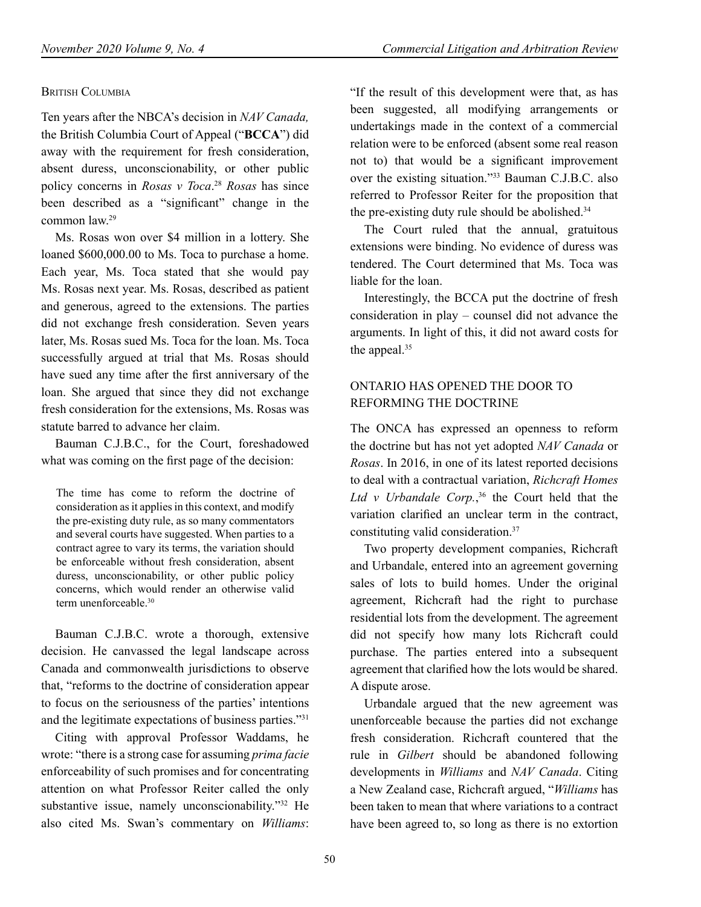### **BRITISH COLUMBIA**

Ten years after the NBCA's decision in *NAV Canada,* the British Columbia Court of Appeal ("**BCCA**") did away with the requirement for fresh consideration, absent duress, unconscionability, or other public policy concerns in *Rosas v Toca*. <sup>28</sup> *Rosas* has since been described as a "significant" change in the common law.<sup>29</sup>

Ms. Rosas won over \$4 million in a lottery. She loaned \$600,000.00 to Ms. Toca to purchase a home. Each year, Ms. Toca stated that she would pay Ms. Rosas next year. Ms. Rosas, described as patient and generous, agreed to the extensions. The parties did not exchange fresh consideration. Seven years later, Ms. Rosas sued Ms. Toca for the loan. Ms. Toca successfully argued at trial that Ms. Rosas should have sued any time after the first anniversary of the loan. She argued that since they did not exchange fresh consideration for the extensions, Ms. Rosas was statute barred to advance her claim.

Bauman C.J.B.C., for the Court, foreshadowed what was coming on the first page of the decision:

The time has come to reform the doctrine of consideration as it applies in this context, and modify the pre-existing duty rule, as so many commentators and several courts have suggested. When parties to a contract agree to vary its terms, the variation should be enforceable without fresh consideration, absent duress, unconscionability, or other public policy concerns, which would render an otherwise valid term unenforceable 30

Bauman C.J.B.C. wrote a thorough, extensive decision. He canvassed the legal landscape across Canada and commonwealth jurisdictions to observe that, "reforms to the doctrine of consideration appear to focus on the seriousness of the parties' intentions and the legitimate expectations of business parties."<sup>31</sup>

Citing with approval Professor Waddams, he wrote: "there is a strong case for assuming *prima facie* enforceability of such promises and for concentrating attention on what Professor Reiter called the only substantive issue, namely unconscionability."<sup>32</sup> He also cited Ms. Swan's commentary on *Williams*: "If the result of this development were that, as has been suggested, all modifying arrangements or undertakings made in the context of a commercial relation were to be enforced (absent some real reason not to) that would be a significant improvement over the existing situation."<sup>33</sup> Bauman C.J.B.C. also referred to Professor Reiter for the proposition that the pre-existing duty rule should be abolished.<sup>34</sup>

The Court ruled that the annual, gratuitous extensions were binding. No evidence of duress was tendered. The Court determined that Ms. Toca was liable for the loan.

Interestingly, the BCCA put the doctrine of fresh consideration in play – counsel did not advance the arguments. In light of this, it did not award costs for the appeal.<sup>35</sup>

# ONTARIO HAS OPENED THE DOOR TO REFORMING THE DOCTRINE

The ONCA has expressed an openness to reform the doctrine but has not yet adopted *NAV Canada* or *Rosas*. In 2016, in one of its latest reported decisions to deal with a contractual variation, *Richcraft Homes*  Ltd *v* Urbandale Corp.,<sup>36</sup> the Court held that the variation clarified an unclear term in the contract, constituting valid consideration.<sup>37</sup>

Two property development companies, Richcraft and Urbandale, entered into an agreement governing sales of lots to build homes. Under the original agreement, Richcraft had the right to purchase residential lots from the development. The agreement did not specify how many lots Richcraft could purchase. The parties entered into a subsequent agreement that clarified how the lots would be shared. A dispute arose.

Urbandale argued that the new agreement was unenforceable because the parties did not exchange fresh consideration. Richcraft countered that the rule in *Gilbert* should be abandoned following developments in *Williams* and *NAV Canada*. Citing a New Zealand case, Richcraft argued, "*Williams* has been taken to mean that where variations to a contract have been agreed to, so long as there is no extortion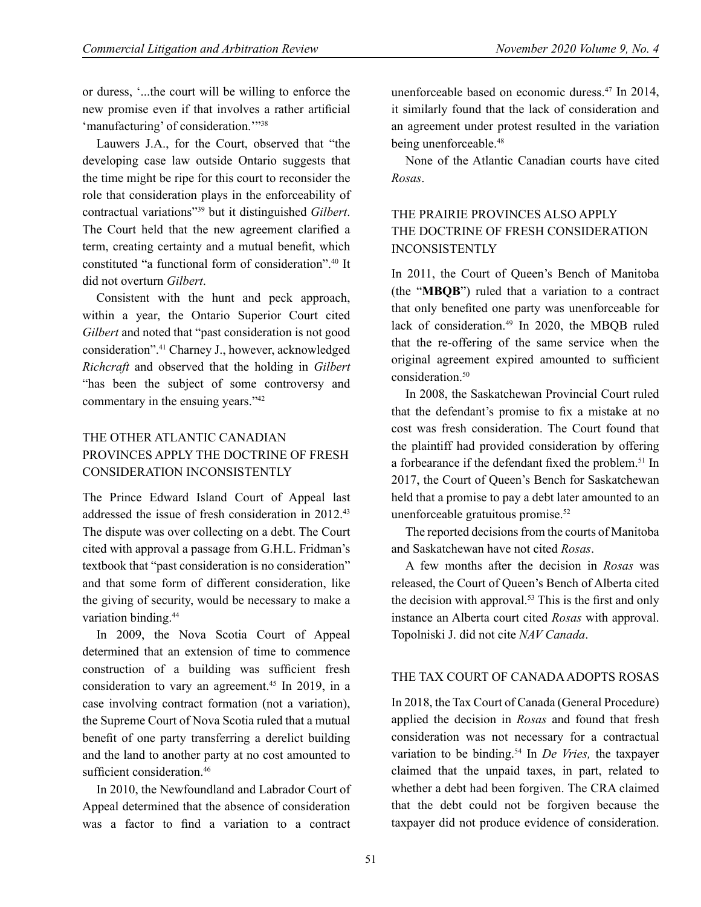or duress, '...the court will be willing to enforce the new promise even if that involves a rather artificial 'manufacturing' of consideration.'"<sup>38</sup>

Lauwers J.A., for the Court, observed that "the developing case law outside Ontario suggests that the time might be ripe for this court to reconsider the role that consideration plays in the enforceability of contractual variations"39 but it distinguished *Gilbert*. The Court held that the new agreement clarified a term, creating certainty and a mutual benefit, which constituted "a functional form of consideration".40 It did not overturn *Gilbert*.

Consistent with the hunt and peck approach, within a year, the Ontario Superior Court cited *Gilbert* and noted that "past consideration is not good consideration".41 Charney J., however, acknowledged *Richcraft* and observed that the holding in *Gilbert*  "has been the subject of some controversy and commentary in the ensuing years."<sup>42</sup>

# THE OTHER ATLANTIC CANADIAN PROVINCES APPLY THE DOCTRINE OF FRESH CONSIDERATION INCONSISTENTLY

The Prince Edward Island Court of Appeal last addressed the issue of fresh consideration in 2012.<sup>43</sup> The dispute was over collecting on a debt. The Court cited with approval a passage from G.H.L. Fridman's textbook that "past consideration is no consideration" and that some form of different consideration, like the giving of security, would be necessary to make a variation binding.<sup>44</sup>

In 2009, the Nova Scotia Court of Appeal determined that an extension of time to commence construction of a building was sufficient fresh consideration to vary an agreement.<sup>45</sup> In 2019, in a case involving contract formation (not a variation), the Supreme Court of Nova Scotia ruled that a mutual benefit of one party transferring a derelict building and the land to another party at no cost amounted to sufficient consideration 46

In 2010, the Newfoundland and Labrador Court of Appeal determined that the absence of consideration was a factor to find a variation to a contract

unenforceable based on economic duress.47 In 2014, it similarly found that the lack of consideration and an agreement under protest resulted in the variation being unenforceable.<sup>48</sup>

None of the Atlantic Canadian courts have cited *Rosas*.

# THE PRAIRIE PROVINCES ALSO APPLY THE DOCTRINE OF FRESH CONSIDERATION INCONSISTENTLY

In 2011, the Court of Queen's Bench of Manitoba (the "**MBQB**") ruled that a variation to a contract that only benefited one party was unenforceable for lack of consideration.<sup>49</sup> In 2020, the MBQB ruled that the re-offering of the same service when the original agreement expired amounted to sufficient consideration.<sup>50</sup>

In 2008, the Saskatchewan Provincial Court ruled that the defendant's promise to fix a mistake at no cost was fresh consideration. The Court found that the plaintiff had provided consideration by offering a forbearance if the defendant fixed the problem.<sup>51</sup> In 2017, the Court of Queen's Bench for Saskatchewan held that a promise to pay a debt later amounted to an unenforceable gratuitous promise. $52$ 

The reported decisions from the courts of Manitoba and Saskatchewan have not cited *Rosas*.

A few months after the decision in *Rosas* was released, the Court of Queen's Bench of Alberta cited the decision with approval.<sup>53</sup> This is the first and only instance an Alberta court cited *Rosas* with approval. Topolniski J. did not cite *NAV Canada*.

#### THE TAX COURT OF CANADA ADOPTS ROSAS

In 2018, the Tax Court of Canada (General Procedure) applied the decision in *Rosas* and found that fresh consideration was not necessary for a contractual variation to be binding.54 In *De Vries,* the taxpayer claimed that the unpaid taxes, in part, related to whether a debt had been forgiven. The CRA claimed that the debt could not be forgiven because the taxpayer did not produce evidence of consideration.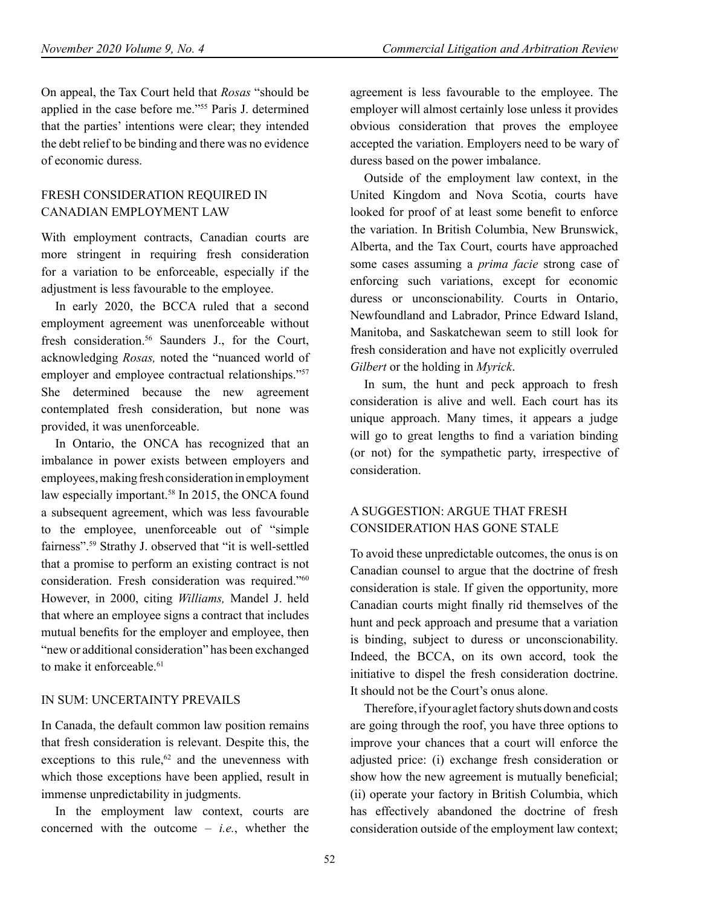On appeal, the Tax Court held that *Rosas* "should be applied in the case before me."55 Paris J. determined that the parties' intentions were clear; they intended the debt relief to be binding and there was no evidence of economic duress.

#### FRESH CONSIDERATION REQUIRED IN CANADIAN EMPLOYMENT LAW

With employment contracts, Canadian courts are more stringent in requiring fresh consideration for a variation to be enforceable, especially if the adjustment is less favourable to the employee.

In early 2020, the BCCA ruled that a second employment agreement was unenforceable without fresh consideration.<sup>56</sup> Saunders J., for the Court, acknowledging *Rosas,* noted the "nuanced world of employer and employee contractual relationships."<sup>57</sup> She determined because the new agreement contemplated fresh consideration, but none was provided, it was unenforceable.

In Ontario, the ONCA has recognized that an imbalance in power exists between employers and employees, making fresh consideration in employment law especially important.<sup>58</sup> In 2015, the ONCA found a subsequent agreement, which was less favourable to the employee, unenforceable out of "simple fairness".59 Strathy J. observed that "it is well-settled that a promise to perform an existing contract is not consideration. Fresh consideration was required."<sup>60</sup> However, in 2000, citing *Williams,* Mandel J. held that where an employee signs a contract that includes mutual benefits for the employer and employee, then "new or additional consideration" has been exchanged to make it enforceable.<sup>61</sup>

#### IN SUM: UNCERTAINTY PREVAILS

In Canada, the default common law position remains that fresh consideration is relevant. Despite this, the exceptions to this rule, $62$  and the unevenness with which those exceptions have been applied, result in immense unpredictability in judgments.

In the employment law context, courts are concerned with the outcome – *i.e.*, whether the agreement is less favourable to the employee. The employer will almost certainly lose unless it provides obvious consideration that proves the employee accepted the variation. Employers need to be wary of duress based on the power imbalance.

Outside of the employment law context, in the United Kingdom and Nova Scotia, courts have looked for proof of at least some benefit to enforce the variation. In British Columbia, New Brunswick, Alberta, and the Tax Court, courts have approached some cases assuming a *prima facie* strong case of enforcing such variations, except for economic duress or unconscionability. Courts in Ontario, Newfoundland and Labrador, Prince Edward Island, Manitoba, and Saskatchewan seem to still look for fresh consideration and have not explicitly overruled *Gilbert* or the holding in *Myrick*.

In sum, the hunt and peck approach to fresh consideration is alive and well. Each court has its unique approach. Many times, it appears a judge will go to great lengths to find a variation binding (or not) for the sympathetic party, irrespective of consideration.

## A SUGGESTION: ARGUE THAT FRESH CONSIDERATION HAS GONE STALE

To avoid these unpredictable outcomes, the onus is on Canadian counsel to argue that the doctrine of fresh consideration is stale. If given the opportunity, more Canadian courts might finally rid themselves of the hunt and peck approach and presume that a variation is binding, subject to duress or unconscionability. Indeed, the BCCA, on its own accord, took the initiative to dispel the fresh consideration doctrine. It should not be the Court's onus alone.

Therefore, if your aglet factory shuts down and costs are going through the roof, you have three options to improve your chances that a court will enforce the adjusted price: (i) exchange fresh consideration or show how the new agreement is mutually beneficial; (ii) operate your factory in British Columbia, which has effectively abandoned the doctrine of fresh consideration outside of the employment law context;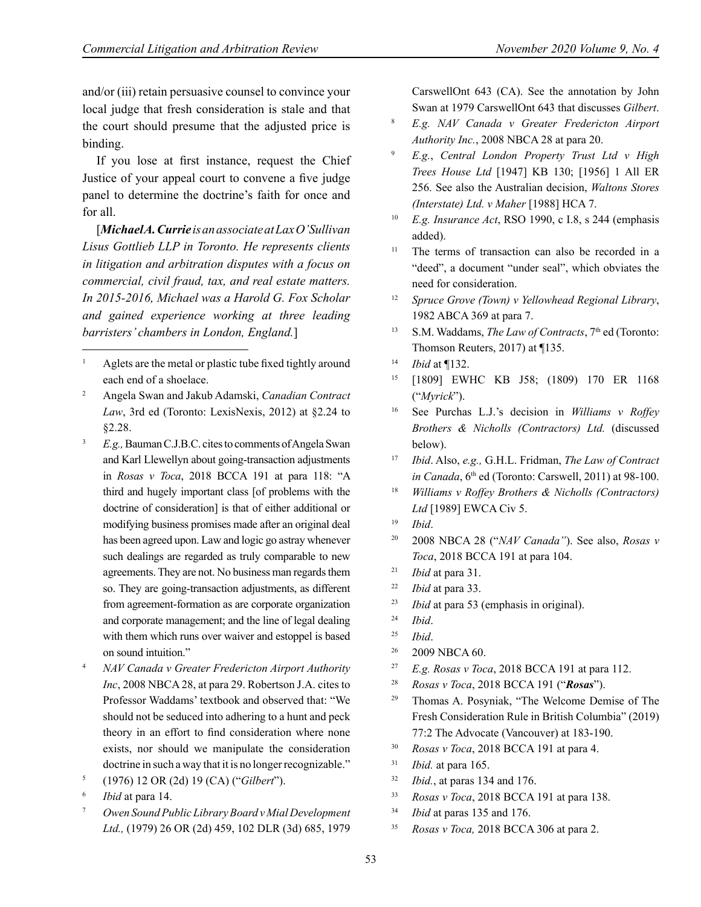and/or (iii) retain persuasive counsel to convince your local judge that fresh consideration is stale and that the court should presume that the adjusted price is binding.

If you lose at first instance, request the Chief Justice of your appeal court to convene a five judge panel to determine the doctrine's faith for once and for all.

[*Michael A. Currie is an associate at Lax O'Sullivan Lisus Gottlieb LLP in Toronto. He represents clients in litigation and arbitration disputes with a focus on commercial, civil fraud, tax, and real estate matters. In 2015-2016, Michael was a Harold G. Fox Scholar and gained experience working at three leading barristers' chambers in London, England.*]

<sup>7</sup> *Owen Sound Public Library Board v Mial Development Ltd.,* (1979) 26 OR (2d) 459, 102 DLR (3d) 685, 1979 CarswellOnt 643 (CA). See the annotation by John Swan at 1979 CarswellOnt 643 that discusses *Gilbert*.

- <sup>8</sup> *E.g. NAV Canada v Greater Fredericton Airport Authority Inc.*, 2008 NBCA 28 at para 20.
- <sup>9</sup> *E.g.*, *Central London Property Trust Ltd v High Trees House Ltd* [1947] KB 130; [1956] 1 All ER 256. See also the Australian decision, *Waltons Stores (Interstate) Ltd. v Maher* [1988] HCA 7.
- <sup>10</sup> *E.g. Insurance Act*, RSO 1990, c I.8, s 244 (emphasis added).
- <sup>11</sup> The terms of transaction can also be recorded in a "deed", a document "under seal", which obviates the need for consideration.
- <sup>12</sup> *Spruce Grove (Town) v Yellowhead Regional Library*, 1982 ABCA 369 at para 7.
- <sup>13</sup> S.M. Waddams, *The Law of Contracts*, 7<sup>th</sup> ed (Toronto: Thomson Reuters, 2017) at ¶135.
- <sup>14</sup> *Ibid* at ¶132.
- <sup>15</sup> [1809] EWHC KB J58; (1809) 170 ER 1168 ("*Myrick*").
- <sup>16</sup> See Purchas L.J.'s decision in *Williams v Roffey Brothers & Nicholls (Contractors) Ltd.* (discussed below).
- <sup>17</sup> *Ibid*. Also, *e.g.,* G.H.L. Fridman, *The Law of Contract in Canada*, 6<sup>th</sup> ed (Toronto: Carswell, 2011) at 98-100.
- <sup>18</sup> *Williams v Roffey Brothers & Nicholls (Contractors) Ltd* [1989] EWCA Civ 5.
- <sup>19</sup> *Ibid*.
- <sup>20</sup> 2008 NBCA 28 ("*NAV Canada"*). See also, *Rosas v Toca*, 2018 BCCA 191 at para 104.
- <sup>21</sup> *Ibid* at para 31.
- <sup>22</sup> *Ibid* at para 33.
- <sup>23</sup> *Ibid* at para 53 (emphasis in original).
- <sup>24</sup> *Ibid*.
- <sup>25</sup> *Ibid*.
- <sup>26</sup> 2009 NBCA 60.
- <sup>27</sup> *E.g. Rosas v Toca*, 2018 BCCA 191 at para 112.
- <sup>28</sup> *Rosas v Toca*, 2018 BCCA 191 ("*Rosas*").
- <sup>29</sup> Thomas A. Posyniak, "The Welcome Demise of The Fresh Consideration Rule in British Columbia" (2019) 77:2 The Advocate (Vancouver) at 183-190.
- <sup>30</sup> *Rosas v Toca*, 2018 BCCA 191 at para 4.
- <sup>31</sup> *Ibid.* at para 165.
- <sup>32</sup> *Ibid.*, at paras 134 and 176.
- <sup>33</sup> *Rosas v Toca*, 2018 BCCA 191 at para 138.
- <sup>34</sup> *Ibid* at paras 135 and 176.
- <sup>35</sup> *Rosas v Toca,* 2018 BCCA 306 at para 2.

Aglets are the metal or plastic tube fixed tightly around each end of a shoelace.

<sup>2</sup> Angela Swan and Jakub Adamski, *Canadian Contract Law*, 3rd ed (Toronto: LexisNexis, 2012) at §2.24 to §2.28.

<sup>3</sup> *E.g.,* Bauman C.J.B.C. cites to comments of Angela Swan and Karl Llewellyn about going-transaction adjustments in *Rosas v Toca*, 2018 BCCA 191 at para 118: "A third and hugely important class [of problems with the doctrine of consideration] is that of either additional or modifying business promises made after an original deal has been agreed upon. Law and logic go astray whenever such dealings are regarded as truly comparable to new agreements. They are not. No business man regards them so. They are going-transaction adjustments, as different from agreement-formation as are corporate organization and corporate management; and the line of legal dealing with them which runs over waiver and estoppel is based on sound intuition."

<sup>4</sup> *NAV Canada v Greater Fredericton Airport Authority Inc*, 2008 NBCA 28, at para 29. Robertson J.A. cites to Professor Waddams' textbook and observed that: "We should not be seduced into adhering to a hunt and peck theory in an effort to find consideration where none exists, nor should we manipulate the consideration doctrine in such a way that it is no longer recognizable."

<sup>5</sup> (1976) 12 OR (2d) 19 (CA) ("*Gilbert*").

<sup>6</sup> *Ibid* at para 14.